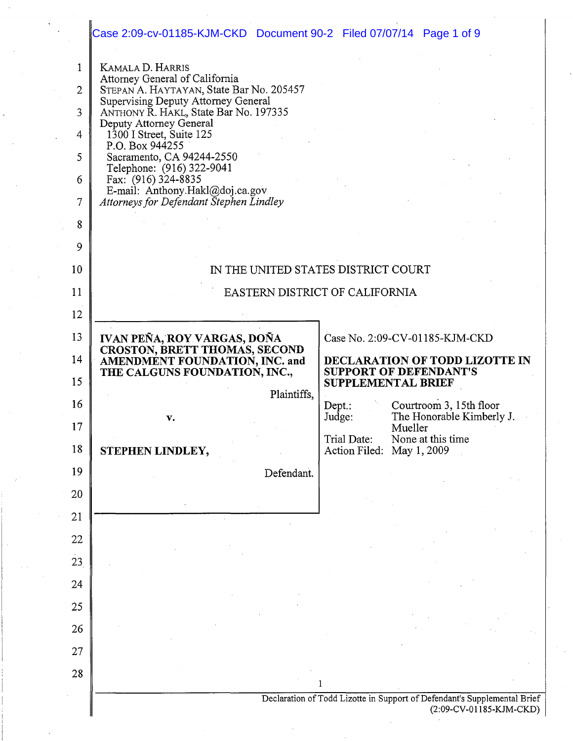|                | Case 2:09-cv-01185-KJM-CKD Document 90-2 Filed 07/07/14 Page 1 of 9                                      |                                                                                                   |                                                                          |  |
|----------------|----------------------------------------------------------------------------------------------------------|---------------------------------------------------------------------------------------------------|--------------------------------------------------------------------------|--|
| 1              | KAMALA D. HARRIS                                                                                         |                                                                                                   |                                                                          |  |
| $\overline{2}$ | Attorney General of California<br>STEPAN A. HAYTAYAN, State Bar No. 205457                               |                                                                                                   |                                                                          |  |
| 3              | Supervising Deputy Attorney General<br>ANTHONY R. HAKL, State Bar No. 197335                             |                                                                                                   |                                                                          |  |
| 4              | Deputy Attorney General<br>$1300$ I Street, Suite 125                                                    |                                                                                                   |                                                                          |  |
| 5              | P.O. Box 944255<br>Sacramento, CA 94244-2550                                                             |                                                                                                   |                                                                          |  |
| 6              | Telephone: (916) 322-9041<br>Fax: $(916)$ 324-8835                                                       |                                                                                                   |                                                                          |  |
| 7              | E-mail: Anthony.Hakl@doj.ca.gov<br>Attorneys for Defendant Stephen Lindley                               |                                                                                                   |                                                                          |  |
| 8              |                                                                                                          |                                                                                                   |                                                                          |  |
| 9              |                                                                                                          |                                                                                                   |                                                                          |  |
| 10             | IN THE UNITED STATES DISTRICT COURT                                                                      |                                                                                                   |                                                                          |  |
| 11             | EASTERN DISTRICT OF CALIFORNIA                                                                           |                                                                                                   |                                                                          |  |
| 12             |                                                                                                          |                                                                                                   |                                                                          |  |
| 13             | IVAN PEÑA, ROY VARGAS, DOÑA                                                                              | Case No. 2:09-CV-01185-KJM-CKD<br>DECLARATION OF TODD LIZOTTE IN<br><b>SUPPORT OF DEFENDANT'S</b> |                                                                          |  |
| 14             | <b>CROSTON, BRETT THOMAS, SECOND<br/>AMENDMENT FOUNDATION, INC. and</b><br>THE CALGUNS FOUNDATION, INC., |                                                                                                   |                                                                          |  |
| 15             | Plaintiffs,                                                                                              |                                                                                                   | SUPPLEMENTAL BRIEF                                                       |  |
| 16             |                                                                                                          | $Dep.$ :<br>Judge:                                                                                | Courtroom 3, 15th floor<br>The Honorable Kimberly J.                     |  |
|                |                                                                                                          |                                                                                                   |                                                                          |  |
| 17             | v.                                                                                                       |                                                                                                   | Mueller                                                                  |  |
| 18             | STEPHEN LINDLEY,                                                                                         | Trial Date:<br>Action Filed: May 1, 2009                                                          | None at this time                                                        |  |
| 19             | Defendant.                                                                                               |                                                                                                   |                                                                          |  |
| 20             |                                                                                                          |                                                                                                   |                                                                          |  |
| 21             |                                                                                                          |                                                                                                   |                                                                          |  |
| 22             |                                                                                                          |                                                                                                   |                                                                          |  |
| 23             |                                                                                                          |                                                                                                   |                                                                          |  |
| 24             |                                                                                                          |                                                                                                   |                                                                          |  |
| 25             |                                                                                                          |                                                                                                   |                                                                          |  |
| 26             |                                                                                                          |                                                                                                   |                                                                          |  |
| 27             |                                                                                                          |                                                                                                   |                                                                          |  |
| 28             |                                                                                                          | 1                                                                                                 | Declaration of Todd Lizotte in Support of Defendant's Supplemental Brief |  |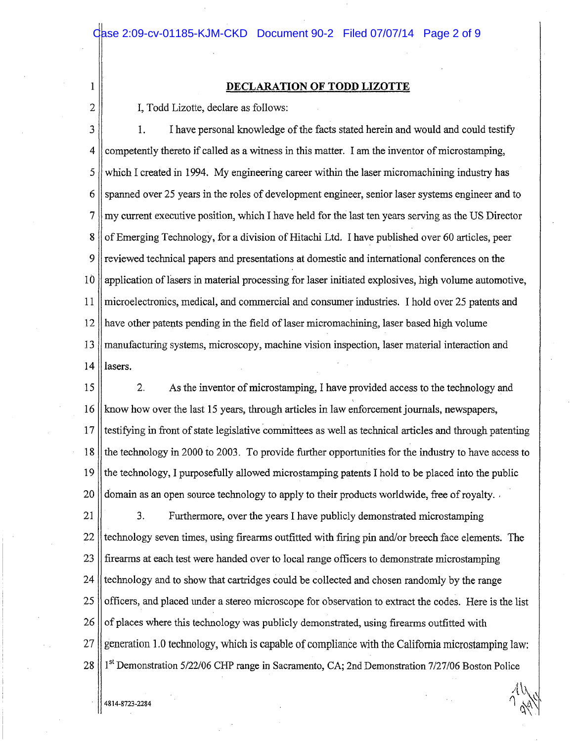# 1 **DECLARATION OF TODD LIZOTTE**

2 | I, Todd Lizotte, declare as follows:

3 1. I have personal knowledge of the facts stated herein and would and could testify 4 competently thereto if called as a witness in this matter. I am the inventor of microstamping, 5 which I created in 1994. My engineering career within the laser micromachining industry has 6 Spanned over 25 years in the roles of development engineer, senior laser systems engineer and to 7 my current executive position, which I have held for the last ten years serving as the US Director 8 | of Emerging Technology, for a division of Hitachi Ltd. I have published over 60 articles, peer 9 reviewed technical papers and presentations at domestic and international conferences on the 10 application oflasers in material processing for laser initiated explosives, high volume automotive, 11 microelectronics, medical, and commercial and consumer industries. I hold over 25 patents and 12 have other patents pending in the field oflaser micromachining, laser based high volume .13 manufacturing systems, microscopy, machine vision inspection, laser material interaction and  $14$  | lasers.

15 2. As the inventor of micro stamping, I have provided access to the technology and 16 know how over the last 15 years, through articles in law enforcement journals, newspapers, 17 Itestifying in front of state legislative committees as well as technical articles and through patenting 18 the technology in 2000 to 2003. To provide further opportunities for the industry to have access to 19 the technology, I purposefully allowed microstamping patents I hold to be placed into the public 20 domain as an open source technology to apply to their products worldwide, free of royalty.

21 | 3. Furthermore, over the years I have publicly demonstrated microstamping  $22$  || technology seven times, using firearms outfitted with firing pin and/or breech face elements. The 23 firearms at each test were handed over to local range officers to demonstrate microstarnping 24 fechnology and to show that cartridges could be collected and chosen randomly by the range 25 || officers, and placed under a stereo microscope for observation to extract the codes. Here is the list  $26$  of places where this technology was publicly demonstrated, using firearms outfitted with 27 generation 1.0 technology, which is capable of compliance with the California microstamping law: 28 | 1<sup>st</sup> Demonstration 5/22/06 CHP range in Sacramento, CA; 2nd Demonstration 7/27/06 Boston Police

 $\bigwedge^n$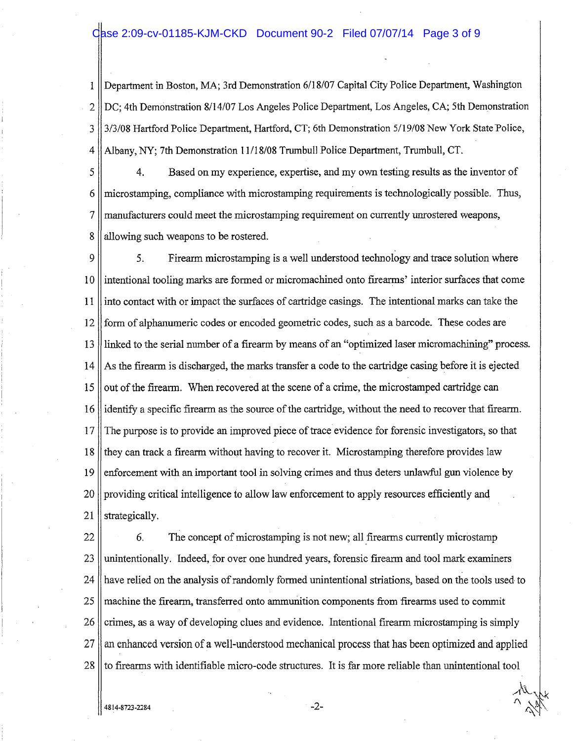## Case 2:09-cv-01185-KJM-CKD Document 90-2 Filed 07/07/14 Page 3 of 9

1 Department in Boston, MA; 3rd Demonstration 6/18/07 Capital City Police Department, Washington 2 DC; 4th Demonstration 8/14/07 Los Angeles Police Department, Los Angeles, CA; 5th Demonstration 3 || 3/3/08 Hartford Police Department, Hartford, CT; 6th Demonstration 5/19/08 New York State Police, 4 Albany, NY; 7th Demonstration 11118/08 Trumbull Police Department, Trumbull, CT.

5 4. Based on my experience, expertise, and my own testing results as the inventor of 6 microstamping, compliance with microstamping requirements is technologically possible. Thus, 7 manufacturers could meet the microstamping requirement on currently unrostered weapons, 8 allowing such weapons to be rostered.

9 || 5. Firearm microstamping is a well understood technology and trace solution where 10 intentional tooling marks are formed or micromachined onto firearms' interior surfaces that come 11 into contact with or impact the surfaces of cartridge casings. The intentional marks can take the 12 form of alphanumeric codes or encoded geometric codes, such as a barcode. These codes are 13 linked to the serial number of a firearm by means of an "optimized laser micromachining" process. 14 As the firearm is discharged, the marks transfer a code to the cartridge casing before it is ejected 15  $\parallel$  out of the firearm. When recovered at the scene of a crime, the microstamped cartridge can 16 identify a specific firearm as the source of the cartridge, without the need to recover that firearm. 1 7 The purpose is to provide an improved piece of trace evidence for forensic investigators, so that 18 they can track a firearm without having to recover it. Microstamping therefore provides law 19 enforcement with an important tool in solving crimes and thus deters unlawful gun violence by 20 providing critical intelligence to allow law enforcement to apply resources efficiently and 21 | strategically.

22 | 6. The concept of microstamping is not new; all firearms currently microstamp 23 || unintentionally. Indeed, for over one hundred years, forensic firearm and tool mark examiners 24 have relied on the analysis of randomly formed unintentional striations, based on the tools used to 25 machine the firearm, transferred onto ammunition components from firearms used to commit 26 crimes, as a way of developing clues and evidence. Intentional firearm microstamping is simply 27 an enhanced version of a well-understood mechanical process that has been optimized and applied 28 to firearms with identifiable micro-code structures. It is far more reliable than unintentional tool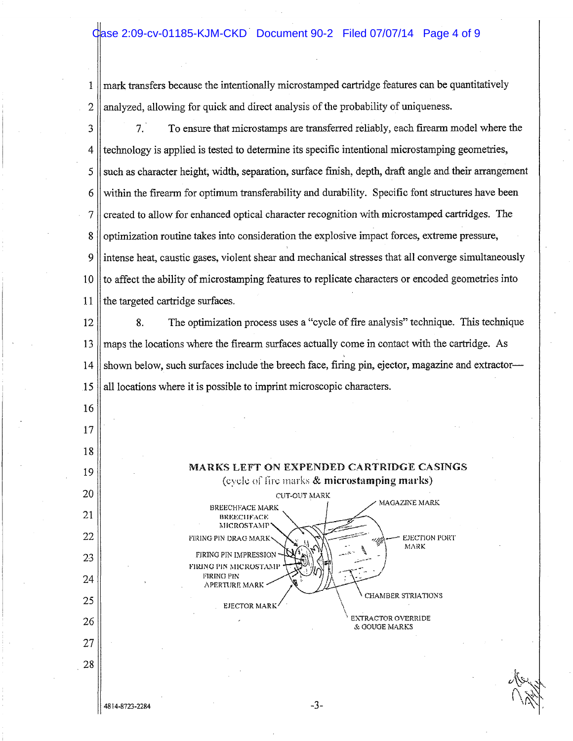## Case 2:09-cv-01185-KJM-CKD Document 90-2 Filed 07/07/14 Page 4 of 9

1 mark transfers because the intentionally microstamped cartridge features can be quantitatively  $2 \parallel$  analyzed, allowing for quick and direct analysis of the probability of uniqueness.

3 7. To ensure that microstamps are transferred reliably, each firearm model where the 4 technology is applied is tested to determine its specific intentional microstamping geometries,  $5 \parallel$  such as character height; width, separation, surface finish, depth, draft angle and their arrangement 6 within the firearm for optimum transferability and durability. Specific font structures have been  $7$  created to allow for enhanced optical character recognition with microstamped cartridges. The 8 optimization routine takes into consideration the explosive impact forces, extreme pressure, 9 intense heat, caustic gases, violent shear and mechanical stresses that all converge simultaneously 10 to affect the ability of microstamping features to replicate characters or encoded geometries into 11  $\parallel$  the targeted cartridge surfaces. 12 8. The optimization process uses a "cycle of fire analysis" technique. This technique 13 maps the locations where the firearm surfaces actually come in contact with the cartridge. As  $14$  shown below, such surfaces include the breech face, firing pin, ejector, magazine and extractor-- $15$  || all locations where it is possible to imprint microscopic characters. 16 17 18 MARKS LEFT ON EXPENDED CARTRIDGE CASINGS 19 (eyele of fire marks & microstamping marks) 20 CUT-OUT MARK MAGAZINE MARK BREECHFACE MARK 21 BREECHFACE  $MICROSTAMP$ 22 EJECTION PORT FIRING PIN DRAG MARK MARK r!RlNG PIN IMPRESSION 23 FIRING PIN MICROSTAMI FIRING PIN 24 APERTURE MARK I CHAMBER STRIATIONS 25 EJECTOR MARK **EXTRACTOR OVERRIDE** 26 & GOUGE MARKS 27 28 J&  $\sim$   $N$  .  $\sim$   $^{11}$   $\sim$ 

4814-8723-2284

-3-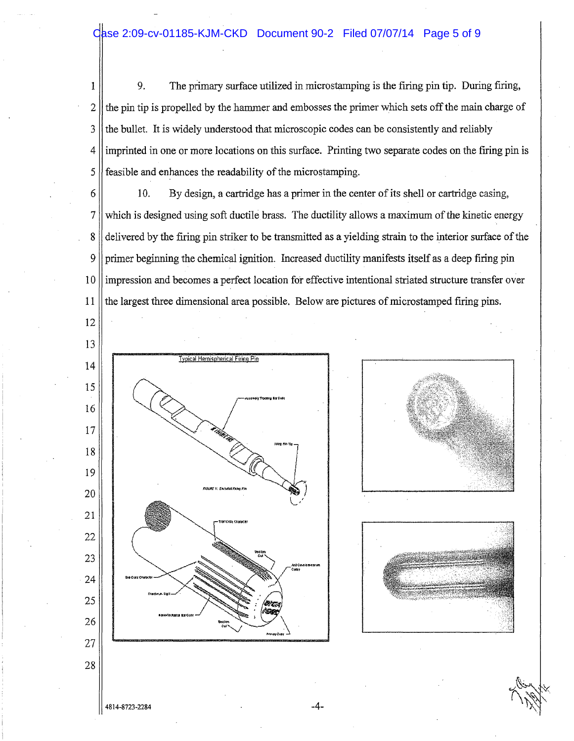# Case 2:09-cv-01185-KJM-CKD Document 90-2 Filed 07/07/14 Page 5 of 9

1 9. The primary surface utilized in microstamping is the firing pin tip. During firing,  $2 \parallel$  the pin tip is propelled by the hammer and embosses the primer which sets off the main charge of  $3$  the bullet. It is widely understood that microscopic codes can be consistently and reliably 4 imprinted in one or more locations on this surface. Printing two separate codes on the firing pin is 5 feasible and enhances the readability of the microstamping.

12

 $6 \parallel$  10. By design, a cartridge has a primer in the center of its shell or cartridge casing, 7 which is designed using soft ductile brass. The ductility allows a maximum of the kinetic energy 8 delivered by the firing pin striker to be transmitted as a yielding strain to the interior surface of the 9 primer beginning the chemical ignition. Increased ductility manifests itself as a deep firing pin 1 0 impression and becomes a perfect location for effective intentional striated structure transfer over 11 the largest three dimensional area possible. Below are pictures of microstamped firing pins.







#### $4814 - 8723 - 2284$   $-4$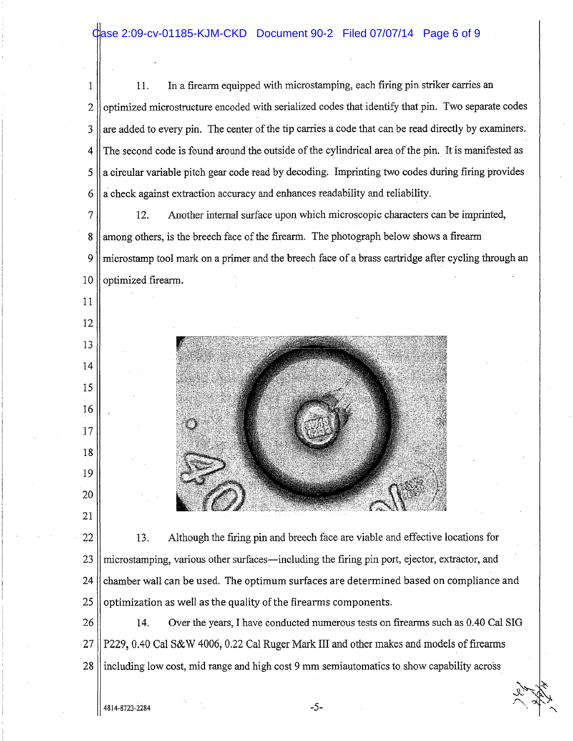1 || 11. In a firearm equipped with microstamping, each firing pin striker carries an 2 || optimized microstructure encoded with serialized codes that identify that pin. Two separate codes  $3 \parallel$  are added to every pin. The center of the tip carries a code that can be read directly by examiners. 4 The second code is found around the outside of the cylindrical area of the pin. It is manifested as 5 || a circular variable pitch gear code read by decoding. Imprinting two codes during firing provides  $6 \parallel a$  check against extraction accuracy and enhances readability and reliability.

7 12. Anotber internal surface upon wbich microscopic characters can be imprinted, 8 among others, is the breech face of the firearm. The photograph below shows a firearm 9 micro stamp tool mark on a primer and the breech face of a brass cartridge after cycling through an 10 || optimized firearm.



22 | 13. Although the firing pin and breech face are viable and effective locations for microstamping, various other surfaces—including the firing pin port, ejector, extractor, and || chamber wall can be used. The optimum surfaces are determined based on compliance and | optimization as well as the quality of the firearms components.

26 | 14. Over the years, I have conducted numerous tests on firearms such as 0.40 Cal SIG 27 P229, 0.40 Cal S&W 4006, 0.22 Cal Ruger Mark III and other makes and models of firearms 28 including low cost, mid range and high cost 9 mm semiautomatics to show capability across

11

12

13

14

15

16

17

18

19

20

21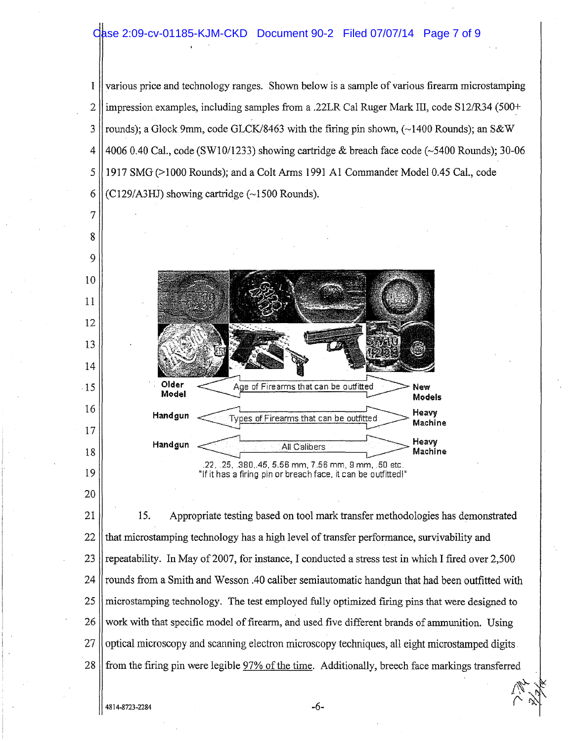### Case 2:09-cv-01185-KJM-CKD Document 90-2 Filed 07/07/14 Page 7 of 9

1 various price and technology ranges. Shown below is a sample of various firearm microstamping  $2$  || impression examples, including samples from a .22LR Cal Ruger Mark III, code S12/R34 (500+) 3 rounds); a Glock 9mm, code GLCK/8463 with the firing pin shown,  $\sim$ 1400 Rounds); an S&W 4  $\vert$  4006 0.40 Cal., code (SW10/1233) showing cartridge & breach face code ( $\sim$ 5400 Rounds); 30-06 5 1917 SMG (>1000 Rounds); and a Colt Arms 1991 AI Commander Model 0.45 Cal., code 6 (C129/A3HJ) showing cartridge  $(\sim 1500$  Rounds).



21 15. Appropriate testing based on tool mark transfer methodologies has demonstrated  $22$  that microstamping technology has a high level of transfer performance, survivability and 23 repeatability. In May of 2007, for instance, I conducted a stress test in which I fired over 2,500 24 || rounds from a Smith and Wesson .40 caliber semiautomatic handgun that had been outfitted with 25 || microstamping technology. The test employed fully optimized firing pins that were designed to 26 work with that specific model of firearm, and used five different brands of ammunition. Using 27 || optical microscopy and scanning electron microscopy techniques, all eight microstamped digits. 28 from the firing pin were legible 97% of the time. Additionally, breech face markings transferred

7

8

9

10

11

13

15

17

19

20

 $-6$ -

 $\mathbb{W}$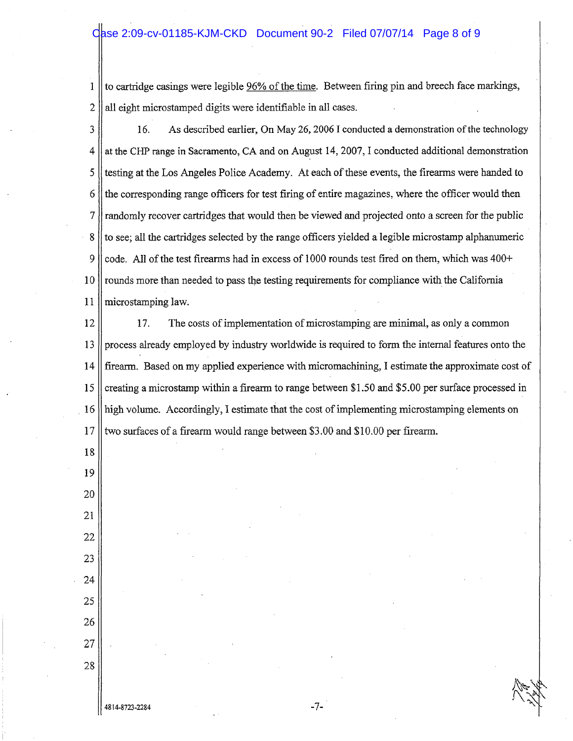## Case 2:09-cv-01185-KJM-CKD Document 90-2 Filed 07/07/14 Page 8 of 9

to cartridge casings were legible 96% of the time. Between firing pin and breech face markings,  $\mathbf{I}$ 2 all eight microstamped digits were identifiable in all cases.

3 | 16. As described earlier, On May 26, 2006 I conducted a demonstration of the technology  $4 \parallel$  at the CHP range in Sacramento, CA and on August 14, 2007, I conducted additional demonstration 5 testing at the Los Angeles Police Academy. At each of these events, the firearms were handed to 6 the corresponding range officers for test firing of entire magazines, where the officer would then 7 randomly recover cartridges that would then be viewed and projected onto a screen for the public 8 to see; all the cartridges selected by the range officers yielded a legible microstamp alphanumeric 9 code. All of the test firearms had in excess of 1000 rounds test fired on them, which was  $400+$ 10 rounds more than needed to pass the testing requirements for compliance with the California 11 microstamping law.

12 17. The costs of implementation of microstamping are minimal, as only a common 13 process already employed by industry worldwide is required to form the internal features onto the 14 firearm. Based on my applied experience with micromachining, I estimate the approximate cost of 15 creating a microstamp within a firearm to range between \$1.50 and \$5.00 per surface processed in . 16 high volume. Accordingly, I estimate that the cost of implementing microstamping elements on 17 || two surfaces of a firearm would range between \$3.00 and \$10.00 per firearm.

18

 $4814 - 8723 - 2284$   $-7$ -